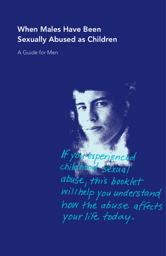# When Males Have Been Sexually Abused as Children

A Guide for Men

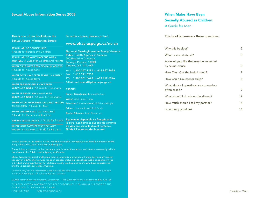#### Sexual Abuse Information Series 2008

#### This is one of ten booklets in the Sexual Abuse Information Series:

To order copies, please contact:

## www.phac-aspc.gc.ca/nc-cn

#### SEXUAL ABUSE COUNSELLING

A Guide for Parents and Children

SEXUAL ABUSE WHAT HAPPENS WHEN YOU TELL A Guide for Children and Parents

WHEN GIRLS HAVE BEEN SEXUALLY ABUSED A Guide for Young Girls

WHEN BOYS HAVE BEEN SEXUALLY ABUSED A Guide for Young Boys

| WHEN TEENAGE GIRLS HAVE BEEN                  |  |
|-----------------------------------------------|--|
| <b>SEXUALLY ABUSED</b> A Guide for Teenagers, |  |

WHEN TEENAGE BOYS HAVE BEEN SEXUALLY ABUSED A Guide for Teenagers

WHEN MALES HAVE BEEN SEXUALLY ABUSED AS CHILDREN A Guide for Men

WHEN CHILDREN ACT OUT SEXUALLY A Guide for Parents and Teachers

SIBLING SEXUAL ABUSE A Guide for Parents

WHEN YOUR PARTNER WAS SEXUALLY ABUSED AS A CHILD A Guide for Partners Public Health Agency of Canada 200 Eglantine Driveway Tunney's Pasture, 1909D Ottawa, ON K1A 0K9 TEL: 1.800.267.1291 or 613.957.2938 FAX: 1.613.941.8930 TTY: 1.800.561.5643 or 613.952.6396 E-MAIL: ncfv-cnivf@phac-aspc.gc.ca

National Clearinghouse on Family Violence

#### **CREDITS**

Project Coordinator: Leonard Terhoch Writer: John Napier-Hemy Revisions: Christina Melnechuk & Louise Doyle Editors : Joanne Broatch & Liz Scully Design & Layout: Jager Design Inc.

Également disponible en français sous le titre : Les hommes qui ont été victimes de violence sexuelle durant l'enfance. Guide à l'intention des hommes.

Special thanks to the staff at VISAC and the National Clearinghouse on Family Violence and the many others who gave their ideas and support.

The opinions expressed in this document are those of the authors and do not necessarily reflect the views of the Public Health Agency of Canada.

VISAC (Vancouver Incest and Sexual Abuse Centre) is a program of Family Services of Greater Vancouver. VISAC offers a wide range of services including specialized victim support services, individual and group therapy for children, youth, families, and adults who have experienced childhood sexual abuse and/or trauma.

Contents may not be commercially reproduced but any other reproduction, with acknowledgements, is encouraged. All other rights are reserved.

© 2008 Family Services of Greater Vancouver – 1616 West 7th Avenue, Vancouver, B.C. V6J 1S5

HP20-6/8-2007 ISBN 978-0-9809135-2-1 THIS PUBLICATION WAS MADE POSSIBLE THROUGH THE FINANCIAL SUPPORT OF THE PUBLIC HEALTH AGENCY OF CANADA.

# When Males Have Been Sexually Abused as Children

A Guide for Men

#### This booklet answers these questions:

| Why this booklet?                                          | 2  |
|------------------------------------------------------------|----|
| What is sexual abuse?                                      | 3  |
| Areas of your life that may be impacted<br>by sexual abuse | 3  |
| How Can I Get the Help I need?                             | 7  |
| How Can a Counsellor Help?                                 | 8  |
| What kinds of questions are counsellors<br>often asked?    | 9  |
| What should I do about the abuser?                         | 12 |
| How much should I tell my partner?                         | 14 |
| Is recovery possible?                                      | 14 |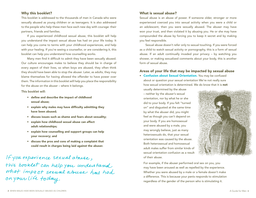#### Why this booklet?

This booklet is addressed to the thousands of men in Canada who were sexually abused as young children or as teenagers. It is also addressed to the people who help these men face each new day with courage: their partners, friends and families.

If you experienced childhood sexual abuse, this booklet will help you understand the impact sexual abuse has had on your life today. It can help you come to terms with your childhood experiences, and help with your healing. If you're seeing a counsellor, or are considering it, this booklet can help you understand how counselling works.

Many men find it difficult to admit they have been sexually abused. Our culture encourages males to believe they should be in charge of every aspect of their lives, so when boys are abused, they often think they should have been able to stop the abuser. Later, as adults, they may blame themselves for having allowed the offender to have power over them. The information in this booklet will help you place the responsibility for the abuse on the abuser – where it belongs.

This booklet will:

- define and describe the impact of childhood sexual abuse;
- explain why males may have difficulty admitting they have been abused;
- discuss issues such as shame and fears about sexuality;
- explain how childhood sexual abuse can affect adult relationships;
- explain how counselling and support groups can help your recovery; and
- discuss the pros and cons of making a complaint that could result in charges being laid against the abuser.

If you experience sexual abrese, this booklet can help you understand what impact sexual abuse has had on your life today.

## What is sexual abuse?

Sexual abuse is an abuse of power. If someone older, stronger or more experienced coerced you into sexual activity when you were a child or an adolescent, then you were sexually abused. The abuser may have won your trust, and then violated it by abusing you. He or she may have compounded the abuse by forcing you to keep it secret and by making you feel responsible.

Sexual abuse doesn't refer only to sexual touching. If you were forced as a child to watch sexual activity or pornography, this is a form of sexual abuse. If an adult continually invaded your privacy – by watching you shower, or making sexualized comments about your body, this is another form of sexual abuse.

#### Areas of your life that may be impacted by sexual abuse

**• Confusion about Sexual Orientation.** You may be confused about or question your sexual orientation We're not really sure how sexual orientation is determined. We do know that it is **not** 

usually determined by the abuse – neither by the abuser's sexual orientation, nor by what he or she did to your body. If you felt "turned on" and disgusted at the same time by what the abuser did, you might feel as though you can't depend on your body. If you are homosexual and were abused by a male, you may wrongly believe, just as many heterosexuals do, that your sexual orientation was caused by the abuse. Both heterosexual and homosexual adult males suffer from similar kinds of sexual orientation confusion as a result of their abuse.



 For example, if the abuser performed oral sex on you, you may have been aroused as well as repelled by the experience. Whether you were abused by a male or a female doesn't make a difference. This is because your penis responds to stimulation regardless of the gender of the person who is stimulating it.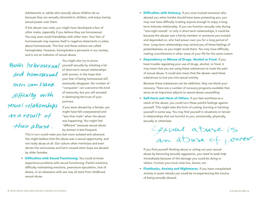Adolescents or adults who sexually abuse children do so because they are sexually attracted to *children,* and enjoy having sexual power over them.

 *If the abuser was male,* you might have developed a fear of other males, especially if you believe they are homosexual. You may even avoid friendships with other men. Your fear of homosexuals may express itself in negative statements or jokes about homosexuals. This fear and these actions are called homophobia. However, *homophobia* is pervasive in our society, and is not an indicator of sexual abuse.

Both heterosexual and homosexual men can have difficulty with sexual relationships as a result of their abuse.

You might also try to prove yourself sexually by initiating a lot of short-term sexual relationships with women, in the hope that your fear of being homosexual will eventually disappear. No number of "conquests" can overcome this kind of insecurity, but you will succeed in destroying the trust of your partners.

*If you were abused by a female,* you might have felt overpowered and "less than male" when the abuse was happening. You might feel "different" because sexual abuse by women is less frequent.

 This in turn could make you feel more isolated and ashamed. You might believe that the abuse was a sexual opportunity, and not really abuse at all. Our culture often minimizes and even denies the seriousness and harm caused when boys are abused by older females.

• Difficulties with Sexual Functioning. You could at times experience problems with sexual functioning. Painful erections, difficulty maintaining erections, premature ejaculation, lack of desire, or an obsession with sex may all stem from childhood sexual abuse.

- Difficulties with Intimacy. If you once trusted someone who abused you when he/she should have been protecting you, you may now have difficulty trusting anyone enough to enjoy a longterm intimate relationship. If you can function sexually only during "one-night stands" or only in short-term relationships, it could be because the abuser was a family member or someone you trusted and depended on, who had power over you for a long period of time. Long-term relationships may remind you of these feelings of powerlessness, so you might avoid them. You may have difficulty making commitments in other areas of your life for the same reason.
- Dependency or Misuse of Drugs, Alcohol or Food. If you have trouble regulating your use of drugs, alcohol, or food, it may mean that you are using these substances to mask the pain of sexual abuse. It could also mean that the abuser used these substances to lure you into sexual activity.

 Because these substances can be addictive, they can block your recovery. There are a number of recovery programs available that serve as an important adjunct to sexual abuse counselling.

• Self-Harm and Harm of Others. If you feel worthless as a result of the abuse, you could turn these painful feelings against yourself. This might take the form of cutting, burning or harming yourself in some way. You may find yourself in situations or remain in relationships that are harmful to you, emotionally, physically, sexually or otherwise.

Gexual atuse is<br>an atuse of power.

If you find yourself thinking about or acting out your sexual abuse by becoming sexually aggressive, *you need to seek help immediately* because of the damage you could be doing to others. Contact your local crisis line, doctor, etc.

• Flashbacks, Anxiety and Nightmares. If you have unexplained anxiety or panic attacks you could be re-experiencing the trauma of being sexually abused.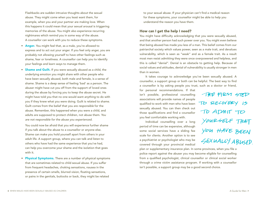Flashbacks are sudden intrusive thoughts about the sexual abuse. They might come when you least want them, for example, when you and your partner are making love. When this happens it could mean that your sexual arousal is triggering memories of the abuse. You might also experience recurring nightmares which remind you in some way of the abuse. A counsellor can work with you to reduce these symptoms.

- Anger. You might feel that, as a male, you're allowed to express and to act out your anger. If you feel only anger, you are probably not allowing yourself to have other feelings such as shame, fear or loneliness. A counsellor can help you to identify your feelings and learn ways to manage them.
- Shame and Guilt. If you were sexually abused as a child, the underlying emotion you might share with other people who have been sexually abused, both male and female, is a sense of shame. Shame is a deep sense of feeling 'bad' as a person. The abuser might have cut you off from the support of loved ones during the abuse by forcing you to keep the abuse secret. He might have told you that no one would want anything to do with you if they knew what you were doing. Guilt is related to shame. Guilt comes from the belief that you are *responsible* for the abuse. Remember, this happened when you were a child, and adults are supposed to protect children, not abuse them. *You are not responsible for the abuse you experienced.*

 You could now be afraid that you will experience further shame if you talk about the abuse to a counsellor or anyone else. Shame can make you hold yourself apart from others in your adult life. A support group, where you can talk and listen to others who have had the same experience that you've had, can help you overcome your shame and the isolation that goes with it.

• Physical Symptoms. There are a number of physical symptoms that are sometimes related to child sexual abuse. If you suffer from frequent headaches, choking sensations, nausea in the presence of certain smells, blurred vision, floating sensations, or pains in the genitals, buttocks or back, they might be related

to your sexual abuse. If your physician can't find a medical reason for these symptoms, your counsellor might be able to help you understand the reason you have them.

#### How can I get the help I need?

You might have difficulty acknowledging that you were sexually abused, and that another person had such power over you. You might even believe that being abused has made you less of a man. This belief comes from our patriarchal society which values power, seen as a male trait, and devalues vulnerability, which is seen as "weak" and as a female trait. As a result most men resist admitting they were once overpowered and helpless, and this is called "denial". Denial is an obstacle to getting help. Because of social values and attitudes, denial of vulnerability is usually stronger in men than in women.

It takes courage to acknowledge you've been sexually abused. A counsellor, a support group or both can be helpful. The best way to find a counsellor is by asking people you trust, such as a doctor or friend,

for personal recommendations. If that isn't possible, professional counselling associations will provide names of people qualified to work with men who have been sexually abused. You can then check out those qualifications and find a counsellor you feel comfortable working with.

Individual counselling over a long period of time can be expensive, although some social services have a sliding fee scale for clients. Another option is to see a psychiatrist or psychologist who may be covered through your provincial medical

plan or supplementary insurance plan. In some provinces, when you file a police report against the abuser you may become eligible for counselling from a qualified psychologist, clinical counsellor or clinical social worker through a crime victim assistance program. If working with a counsellor isn't possible, a support group may be a good second choice.

THE FIRST STED TO RECOVERY 15 TO ADMIT TO YOURSELF THAT<br>YOU HAVE BEEN SEXUALLY ABLISED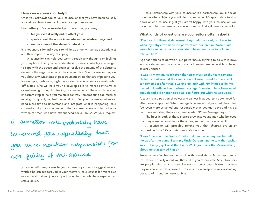#### How can a counsellor help?

Once you acknowledge to your counsellor that you have been sexually abused, you have taken an important step to recovery.

Even after you've acknowledged the abuse, you may:

- tell yourself it really didn't affect you;
- speak about the abuse in an intellectual, abstract way; and
- excuse some of the abuser's behaviour.

It is not unusual for individuals to minimize or deny traumatic experiences and their impact as a way of coping.

A counsellor can help you work through any thoughts or feelings you may have. Then you can understand the ways in which you managed to cope with the abuse and begin to resolve the trauma of the abuse to decrease the negative effects it has on your life. Your counsellor may ask you about any symptoms of post-traumatic stress that are impacting you, for example, flashbacks, nightmares, depression, anxiety, or relationship difficulties. S/he will help you to develop skills to manage intrusive or overwhelming thoughts, feelings or sensations. These skills are an important step to help you maintain control. Remembering too much or moving too quickly can feel overwhelming. Tell your counsellor when you need more time to understand and integrate what is happening. Your counsellor might also recommend that you read some articles or books written for men who have experienced sexual abuse. At your request,

a counsellor will probably have to remind you repeatedly that<br>you were neither responsible for<br>nor guilty of the aboute.

your counsellor may speak to your spouse or partner to suggest ways in which s/he can support you in your recovery. Your counsellor might also recommend that you join a support group for men who have experienced sexual abuse.

Your relationship with your counsellor is a partnership. You'll decide together what subjects you will discuss, and when it's appropriate to slow down or end counselling. If you aren't happy with your counsellor, you have the right to express your concerns and to find a different counsellor.

#### What kinds of questions are counsellors often asked?

"I've heard of five-and six-year-old boys being abused, but I was ten when my babysitter made me perform oral sex on him. Wasn't I old enough to know better and shouldn't I have been able to tell him to take a hike?"

Age has nothing to do with it, but power has everything to do with it. Boys who are dependent on an adult or an adolescent are vulnerable to being sexually abused.

"I was 14 when my coach took the top players on the team camping. He let us drink around the campsite and I wasn't used to it, and all I can remember after that is waking up later with him lying beside me, passed out, with his hand between my legs. Shouldn't I have been smart enough and old enough to be able to figure out what he was up to?"

A coach is in a position of power and can easily appeal to a boy's need for attention and approval. When teenage boys are sexually abused, they often feel even more ashamed and responsible than younger boys and have a hard time reporting the abuse. See booklet "*When Teenage Boys…"*

The boys in both of these stories grew into young men who believed that they were responsible for the abuse, and felt guilty as a result.

A counsellor will probably remind you that *children are never responsible for adults or older teens abusing them.*

"I was 13 and on the Grade 7 basketball team when my teacher felt me up after the game. I told my Uncle Gordon, and he said the teacher was probably gay. Could that be true? Do you think there's something about me that turned him on?"

Sexual orientation has nothing to do with sexual abuse. More importantly, it's not some quality about *you* that makes you responsible. Sexual abusers are people who want to exercise sexual power over children because they're smaller and less powerful. Uncle Gordon's response was misleading because of its anti-homosexual bias.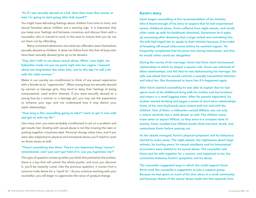#### "So if I was sexually abused as a kid, does that mean that sooner or later I'm going to start going after kids myself?"

You might have disturbing feelings about children from time to time, and sexual fantasies about children are a warning sign. It is important that you keep your feelings and fantasies conscious and discuss them with a counsellor who is trained to work in this area to ensure that you do not act them out by offending.

Many convicted adolescent and adult sex offenders were themselves sexually abused as children. It *does not follow* from this that all boys who have been sexually abused grow up to be abusers.

# "Hey, don't talk to me about sexual abuse. When I was eight, my babysitter made me put my penis right into her vagina. I learned about sex long before the other kids, and to this day I'm still a hit with the older women."

Males in our society are conditioned to think of *any* sexual experience with a female as an "opportunity". When young boys are sexually abused by women or teenage girls, they tend to deny their feelings of being overpowered, used and/or shamed. If you were sexually abused as a young boy by a woman or a teenage girl, you may use the experience to enhance your ego, and not understand how it may distort your adult relationships.

#### "How long is this counselling going to take? I want to get it over with and get on with my life."

Like many men, you were probably conditioned to act on a problem and get results fast. Dealing with sexual abuse is not like mowing the lawn or putting together a business deal. Personal change takes time, and if you were also subjected to physical and emotional abuse you'll need to work on those issues as well.

#### "There's something else there. There's one important thing I haven't remembered, and I just can't get hold of it. Can you hypnotize me?"

This type of question comes up when you think that just below the surface, there is a key that will unlock the whole puzzle, and once you discover it, you'll be instantly cured. Like the previous question, it comes from a common male desire for a "quick fix". As you continue working with your counsellor, you will begin to appreciate the value of gradual change.

#### Kevin's story

Kevin began counselling at the recommendation of his minister, who'd heard enough of his story to suspect that he had experienced severe childhood abuse. Kevin suffered from night sweats, and would often wake up with his bedsheets drenched. Sometimes he'd wake up screaming after dreaming that a large animal was overtaking him. His wife had urged him to speak to their minister because of his habit of breaking off sexual intercourse before he reached orgasm. He frequently complained that his penis hurt during intercourse, and that he would rather avoid sex altogether.

During the course of his marriage, Kevin had three short homosexual relationships in which he played a passive role. Kevin was ashamed of these relationships, and felt that he was dishonouring his marriage. His wife was afraid that he would contract a sexually transmitted infection and infect her. She threatened to leave him if it happened again.

After Kevin started counselling he was able to explain that he had spent much of his childhood living with his mother and five brothers and sisters in a small logging town. After his parents separated, his mother started drinking and began a series of short-term relationships. Some of her new boyfriends were violent with her and with the children. One of them, a millworker named Willard, was not only a violent alcoholic but a child abuser as well. The children never knew when to expect Willard, so they were in a constant state of anxiety. Kevin recalled how Willard would climb into bed, drunk, and masturbate Kevin before passing out.

As the details emerged, Kevin's physical symptoms and his behaviour started to make sense. The night sweats, the nightmares about large animals, his hurting penis, his sexual avoidance and his homosexual encounters were related to his sexual abuse. The counsellor saw Kevin and his wife together for a session, and explained to her the connection between Kevin's symptoms and his abuse.

The counsellor suggested ways in which she could support Kevin. Kevin took the counsellor's suggestion to join a support group. Because he had spent so much of his time alone in a small community, and because shame of the sexual abuse made him feel separate from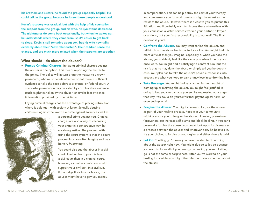his brothers and sisters, he found the group especially helpful. He could talk in the group because he knew these people understood.

Kevin's recovery was gradual, but with the help of his counsellor, the support from the group, and his wife, his symptoms decreased The nightmares do come back occasionally, but when he wakes up, he understands where they came from, so it's easier to get back to sleep. Kevin is still tentative about sex, but his wife now talks excitedly about their "new relationship". Their children sense the change, and are much more relaxed when their parents are together.

#### What should I do about the abuser?

• Pursue Criminal Charges. Initiating criminal charges against the abuser is one option. This means reporting the matter to the police. The police will in turn bring the matter to a crown prosecutor, who must decide whether or not there is sufficient evidence to take the case before a provincial or federal court. A successful prosecution may be aided by corroborative evidence (such as photos taken by the abuser) or similar fact evidence (information provided by other victims).

Laying criminal charges has the advantage of placing retribution where it belongs – with society at large. Sexually abusing children is against the law: it's a crime against society as well as



a personal crime against you. Criminal charges are also a way of channeling your anger in a constructive way, by obtaining justice. The problem with using the court system is that the court proceedings are often lengthy and may be very frustrating.

You could also sue the abuser in a civil court. The burden of proof is less in a civil court than in a criminal court, however, a criminal conviction would support your civil suit. In a civil suit, if the judge finds in your favour, the abuser might have to pay you money

in compensation. This can help defray the cost of your therapy, and compensate you for work time you might have lost as the result of the abuse. However there is a cost to you to pursue this litigation. You'll probably want to discuss these alternatives with your counselor, a victim services worker, your partner, a lawyer, or a friend, but your first responsibility is to yourself. The final decision is yours.

- Confront the Abuser. You may want to find the abuser, and tell him how the abuse has impacted your life. You might find this more difficult than you imagine, especially if, when you face the abuser, you suddenly feel like the same powerless little boy you once were. You might find it satisfying to confront him, but the risk is that he may deny the abuse or simply tell you he doesn't care. Your plan has to take the abuser's possible responses into account and what you hope to gain or may lose in confronting him.
- Take Revenge. You might find satisfaction in the thought of beating up or maiming the abuser. You might feel justified in doing it, but you can damage yourself by expressing your anger that way. You could do yourself further psychological harm, or even end up in jail.
- Forgive the Abuser. You might choose to forgive the abuser as part of your healing process. People in your community might pressure you to forgive the abuser. However, premature forgiveness can increase self-blame and block healing. If you can't personally forgive the abuser, you could look upon forgiveness as a process between the abuser and whatever deity he believes in. It's your choice, to forgive or not forgive, and either choice is valid.
- Let Go. "Letting go" means you have decided to do nothing about the abuser right now. You might decide to let go because you want to focus all of your energy on healing yourself. Letting go is not the same as forgiveness. After you've worked on your healing for a while, you might then decide to do something about the abuser.